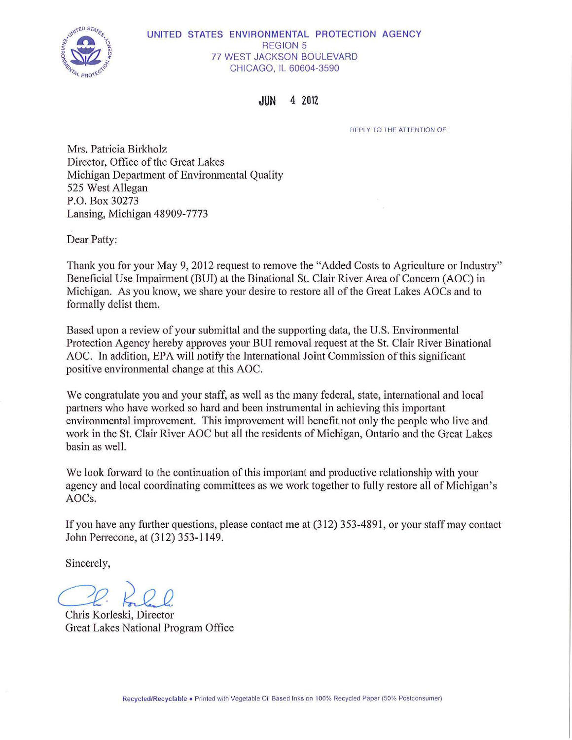

#### UNITED STATES ENVIRONMENTAL PROTECTION AGENCY REGION 5 77 WEST JACKSON BOULEVARD CHICAGO, IL 60604-3590

**JUN** 4 Z01Z

REPLY TO THE ATTENTION OF

Mrs. Patricia Birkholz Director, Office of the Great Lakes Michigan Department of Environmental Quality 525 West Allegan P.O. Box 30273 Lansing, Michigan 48909-7773

Dear Patty:

Thank you for your May 9, 2012 request to remove the "Added Costs to Agriculture or Industry" Beneficial Use Impairment (BUI) at the Binational St. Clair River Area of Concern (AOC) in Michigan. As you know, we share your desire to restore all of the Great Lakes AOCs and to formally delist them.

Based upon a review of your submittal and the supporting data, the U.S. Environmental Protection Agency hereby approves your BUI removal request at the St. Clair River Binational AOC. In addition, EPA will notify the International Joint Commission of this significant positive environmental change at this AOC.

We congratulate you and your staff, as well as the many federal, state, international and local partners who have worked so hard and been instrumental in achieving this important environmental improvement. This improvement will benefit not only the people who live and work in the St. Clair River AOC but all the residents of Michigan, Ontario and the Great Lakes basin as well.

We look forward to the continuation of this important and productive relationship with your agency and local coordinating committees as we work together to fully restore all of Michigan's AOCs.

If you have any further questions, please contact me at (312) 353-4891, or your staff may contact JohnPerrecone, at (312) 353-1149.

Sincerely,

Chris Korleski, Director

Great Lakes National Program Office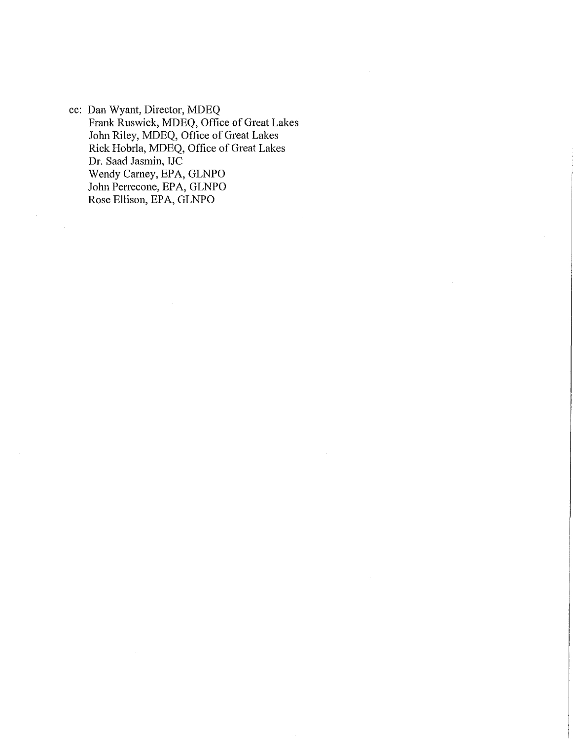cc: Dan Wyant, Director, MDEQ Frank Ruswick, MDEQ, Office of Great Lakes John Riley, MDEQ, Office of Great Lakes Rick Hobrla, MDEQ, Office of Great Lakes Dr. Saad Jasmin, IJC Wendy Carney, EPA, GLNPO John Perrecone, EPA, GLNPO Rose Ellison, EPA, GLNPO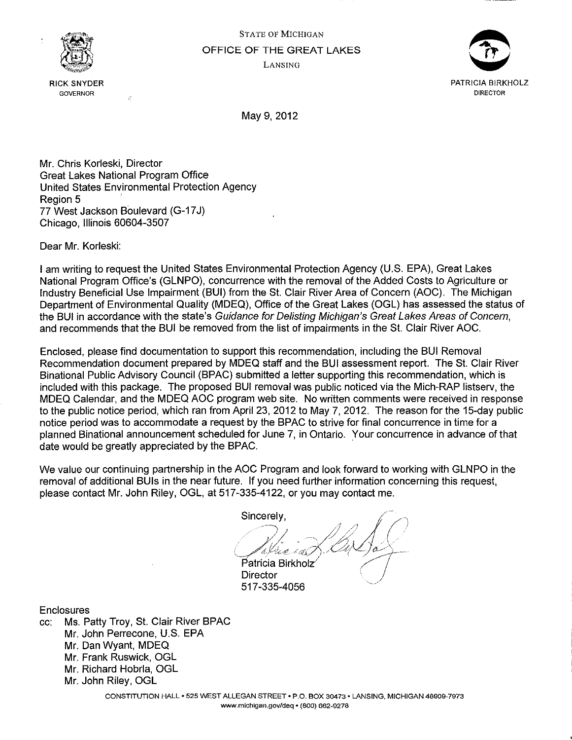



May 9, 2012

Mr. Chris Korleski, Director Great Lakes National Program Office United States Environmental Protection Agency Region 5 77 West Jackson Boulevard (G-17 J) Chicago, Illinois 60604-3507

 $\lambda$ 

Dear Mr. Korleski:

I am writing to request the United States Environmental Protection Agency (U.S. EPA), Great Lakes National Program Office's (GLNPO), concurrence with the removal of the Added Costs to Agriculture or Industry Beneficial Use Impairment (SUI) from the St. Clair River Area of Concern (AOC). The Michigan Department of Environmental Quality (MDEQ), Office of the Great Lakes (OGL) has assessed the status of the SUI in accordance with the state's Guidance for Delisting Michigan's Great Lakes Areas of Concern, and recommends that the SUI be removed from the list of impairments in the St. Clair River AOC.

Enclosed, please find documentation to support this recommendation, including the SUI Removal Recommendation document prepared by MDEQ staff and the BUI assessment report. The St. Clair River Binational Public Advisory Council (BPAC) submitted a letter supporting this recommendation, which is included with this package. The proposed SUI removal was public noticed via the Mich-RAP listserv, the MDEQ Calendar, and the MDEQ AOC program web site. No written comments were received in response to the public notice period, which ran from April 23, 2012 to May 7, 2012. The reason for the 15-day public notice period was to accommodate a request by the BPAC to strive for final concurrence in time for a planned Binational announcement scheduled for June 7, in Ontario. Your concurrence in advance of that date would be greatly appreciated by the BPAC.

We value our continuing partnership in the AOC Program and look forward to working with GLNPO in the removal of additional BUis in the near future. If you need further information concerning this request, please contact Mr. John Riley, OGL, at 517-335-4122, or you may contact me.

Sincerely,<br>Palice in 2. De Sa Patricia Birkholz<br>Director

517-335-4056

**Enclosures** 

cc: Ms. Patty Troy, St. Clair River BPAC Mr. John Perrecone, U.S. EPA Mr. Dan Wyant, MDEQ Mr. Frank Ruswick, OGL Mr. Richard Hobrla, OGL Mr. John Riley, OGL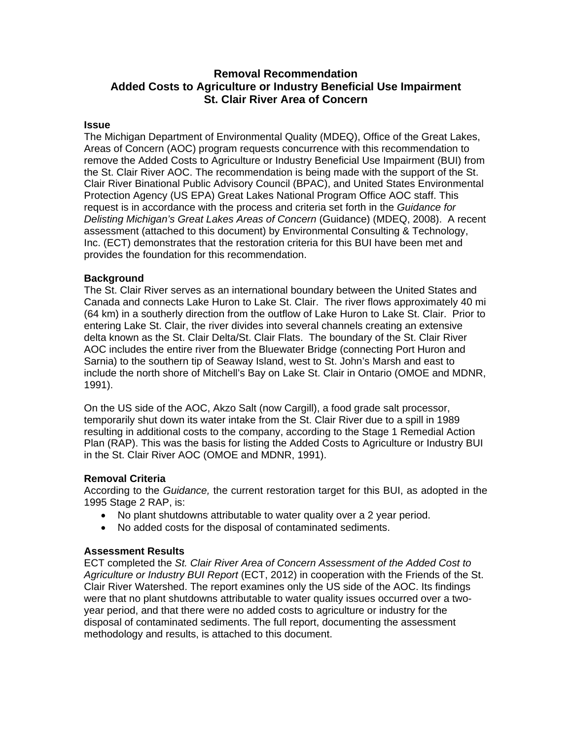## **Removal Recommendation Added Costs to Agriculture or Industry Beneficial Use Impairment St. Clair River Area of Concern**

#### **Issue**

The Michigan Department of Environmental Quality (MDEQ), Office of the Great Lakes, Areas of Concern (AOC) program requests concurrence with this recommendation to remove the Added Costs to Agriculture or Industry Beneficial Use Impairment (BUI) from the St. Clair River AOC. The recommendation is being made with the support of the St. Clair River Binational Public Advisory Council (BPAC), and United States Environmental Protection Agency (US EPA) Great Lakes National Program Office AOC staff. This request is in accordance with the process and criteria set forth in the *Guidance for Delisting Michigan's Great Lakes Areas of Concern* (Guidance) (MDEQ, 2008). A recent assessment (attached to this document) by Environmental Consulting & Technology, Inc. (ECT) demonstrates that the restoration criteria for this BUI have been met and provides the foundation for this recommendation.

### **Background**

The St. Clair River serves as an international boundary between the United States and Canada and connects Lake Huron to Lake St. Clair. The river flows approximately 40 mi (64 km) in a southerly direction from the outflow of Lake Huron to Lake St. Clair. Prior to entering Lake St. Clair, the river divides into several channels creating an extensive delta known as the St. Clair Delta/St. Clair Flats. The boundary of the St. Clair River AOC includes the entire river from the Bluewater Bridge (connecting Port Huron and Sarnia) to the southern tip of Seaway Island, west to St. John's Marsh and east to include the north shore of Mitchell's Bay on Lake St. Clair in Ontario (OMOE and MDNR, 1991).

On the US side of the AOC, Akzo Salt (now Cargill), a food grade salt processor, temporarily shut down its water intake from the St. Clair River due to a spill in 1989 resulting in additional costs to the company, according to the Stage 1 Remedial Action Plan (RAP). This was the basis for listing the Added Costs to Agriculture or Industry BUI in the St. Clair River AOC (OMOE and MDNR, 1991).

## **Removal Criteria**

According to the *Guidance,* the current restoration target for this BUI, as adopted in the 1995 Stage 2 RAP, is:

- No plant shutdowns attributable to water quality over a 2 year period.
- No added costs for the disposal of contaminated sediments.

## **Assessment Results**

ECT completed the *St. Clair River Area of Concern Assessment of the Added Cost to Agriculture or Industry BUI Report* (ECT, 2012) in cooperation with the Friends of the St. Clair River Watershed. The report examines only the US side of the AOC. Its findings were that no plant shutdowns attributable to water quality issues occurred over a twoyear period, and that there were no added costs to agriculture or industry for the disposal of contaminated sediments. The full report, documenting the assessment methodology and results, is attached to this document.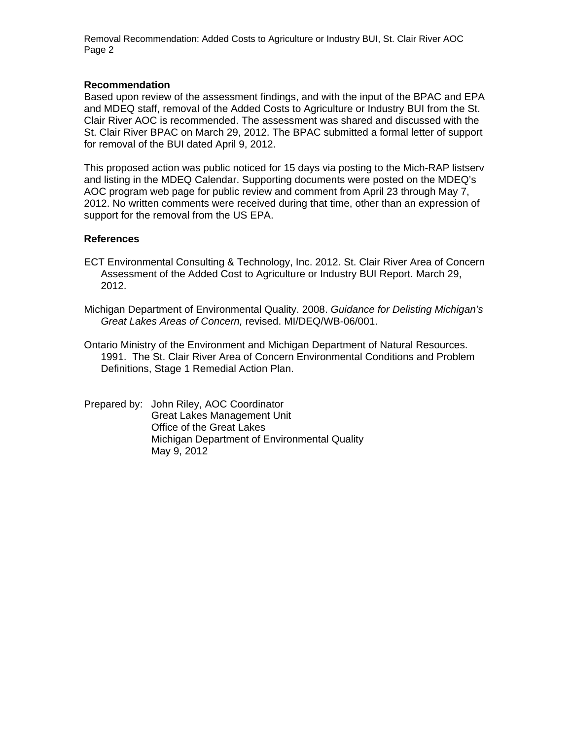Removal Recommendation: Added Costs to Agriculture or Industry BUI, St. Clair River AOC Page 2

#### **Recommendation**

Based upon review of the assessment findings, and with the input of the BPAC and EPA and MDEQ staff, removal of the Added Costs to Agriculture or Industry BUI from the St. Clair River AOC is recommended. The assessment was shared and discussed with the St. Clair River BPAC on March 29, 2012. The BPAC submitted a formal letter of support for removal of the BUI dated April 9, 2012.

This proposed action was public noticed for 15 days via posting to the Mich-RAP listserv and listing in the MDEQ Calendar. Supporting documents were posted on the MDEQ's AOC program web page for public review and comment from April 23 through May 7, 2012. No written comments were received during that time, other than an expression of support for the removal from the US EPA.

### **References**

- ECT Environmental Consulting & Technology, Inc. 2012. St. Clair River Area of Concern Assessment of the Added Cost to Agriculture or Industry BUI Report. March 29, 2012.
- Michigan Department of Environmental Quality. 2008. *Guidance for Delisting Michigan's Great Lakes Areas of Concern,* revised. MI/DEQ/WB-06/001.
- Ontario Ministry of the Environment and Michigan Department of Natural Resources. 1991. The St. Clair River Area of Concern Environmental Conditions and Problem Definitions, Stage 1 Remedial Action Plan.
- Prepared by: John Riley, AOC Coordinator Great Lakes Management Unit Office of the Great Lakes Michigan Department of Environmental Quality May 9, 2012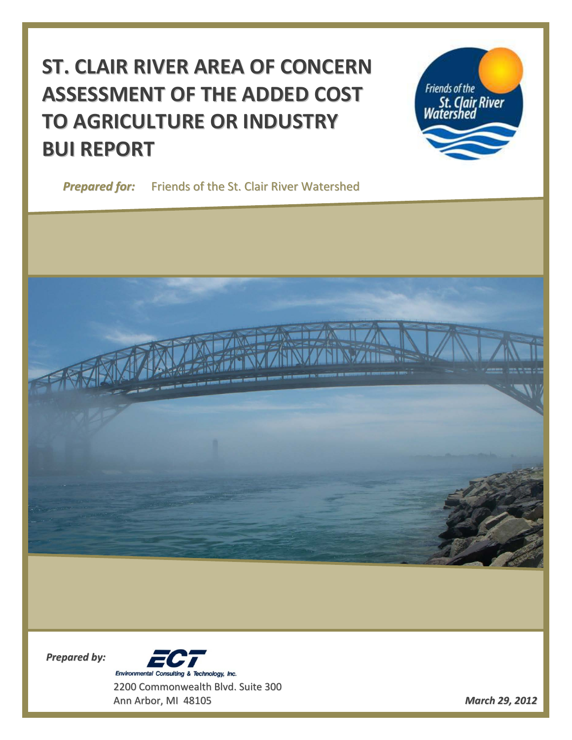# **ST. CLAIR RIVER AREA OF CONCERN ASSESSMENT OF THE ADDED COST TO AGRICULTURE OR INDUSTRY BUI REPORT**

**Friends of the** St. Clair River<br>Watershed

*Prepared for:* Friends of the St. Clair River Watershed



*Prepared by:*



Ann Arbor, MI 48105 *March 29, 2012*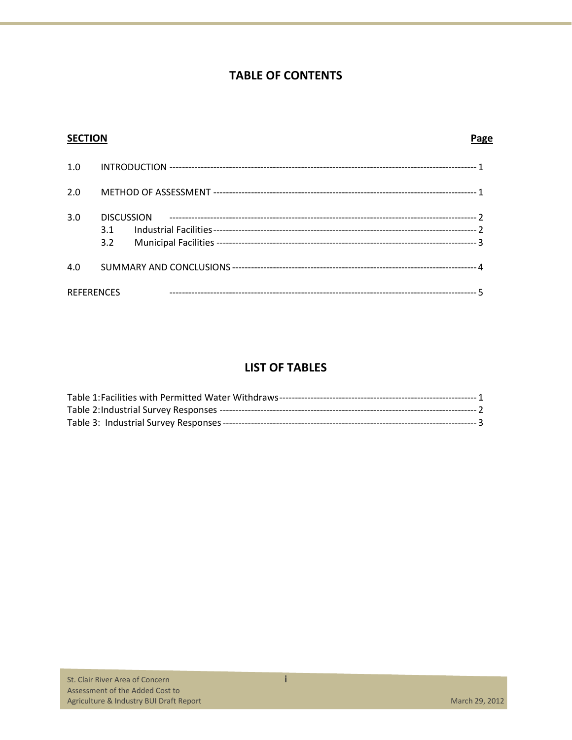# **TABLE OF CONTENTS**

| <b>SECTION</b>    |                                 | Page |
|-------------------|---------------------------------|------|
| 1.0               |                                 |      |
| 2.0               |                                 |      |
| 3.0               | <b>DISCUSSION</b><br>3.1<br>3.2 |      |
| 4.0               |                                 |      |
| <b>REFERENCES</b> |                                 |      |

## **LIST OF TABLES**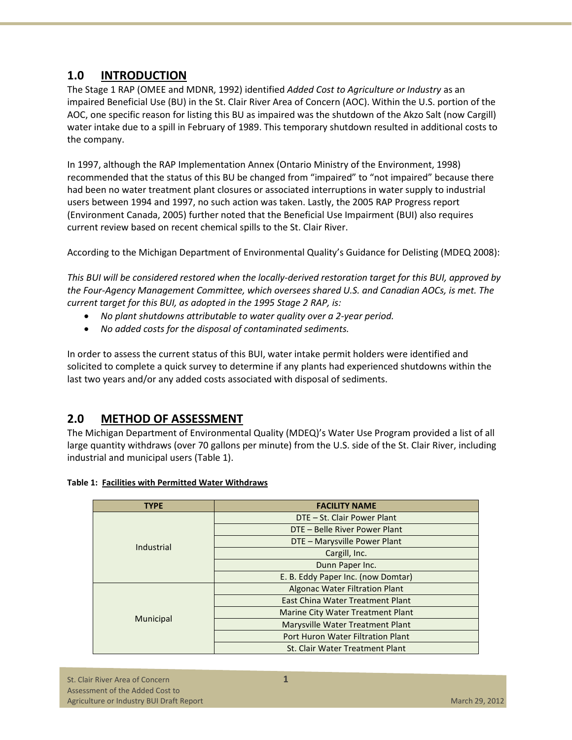## **1.0 INTRODUCTION**

The Stage 1 RAP (OMEE and MDNR, 1992) identified *Added Cost to Agriculture or Industry* as an impaired Beneficial Use (BU) in the St. Clair River Area of Concern (AOC). Within the U.S. portion of the AOC, one specific reason for listing this BU as impaired was the shutdown of the Akzo Salt (now Cargill) water intake due to a spill in February of 1989. This temporary shutdown resulted in additional costs to the company.

In 1997, although the RAP Implementation Annex (Ontario Ministry of the Environment, 1998) recommended that the status of this BU be changed from "impaired" to "not impaired" because there had been no water treatment plant closures or associated interruptions in water supply to industrial users between 1994 and 1997, no such action was taken. Lastly, the 2005 RAP Progress report (Environment Canada, 2005) further noted that the Beneficial Use Impairment (BUI) also requires current review based on recent chemical spills to the St. Clair River.

According to the Michigan Department of Environmental Quality's Guidance for Delisting (MDEQ 2008):

*This BUI will be considered restored when the locally-derived restoration target for this BUI, approved by the Four-Agency Management Committee, which oversees shared U.S. and Canadian AOCs, is met. The current target for this BUI, as adopted in the 1995 Stage 2 RAP, is:*

- *No plant shutdowns attributable to water quality over a 2-year period.*
- *No added costs for the disposal of contaminated sediments.*

In order to assess the current status of this BUI, water intake permit holders were identified and solicited to complete a quick survey to determine if any plants had experienced shutdowns within the last two years and/or any added costs associated with disposal of sediments.

## **2.0 METHOD OF ASSESSMENT**

The Michigan Department of Environmental Quality (MDEQ)'s Water Use Program provided a list of all large quantity withdraws (over 70 gallons per minute) from the U.S. side of the St. Clair River, including industrial and municipal users (Table 1).

| <b>Table 1: Facilities with Permitted Water Withdraws</b> |  |  |  |  |  |  |
|-----------------------------------------------------------|--|--|--|--|--|--|
|-----------------------------------------------------------|--|--|--|--|--|--|

| <b>TYPE</b> | <b>FACILITY NAME</b>                  |
|-------------|---------------------------------------|
|             | DTE – St. Clair Power Plant           |
|             | DTE – Belle River Power Plant         |
| Industrial  | DTE - Marysville Power Plant          |
|             | Cargill, Inc.                         |
|             | Dunn Paper Inc.                       |
|             | E. B. Eddy Paper Inc. (now Domtar)    |
|             | <b>Algonac Water Filtration Plant</b> |
|             | East China Water Treatment Plant      |
|             | Marine City Water Treatment Plant     |
| Municipal   | Marysville Water Treatment Plant      |
|             | Port Huron Water Filtration Plant     |
|             | St. Clair Water Treatment Plant       |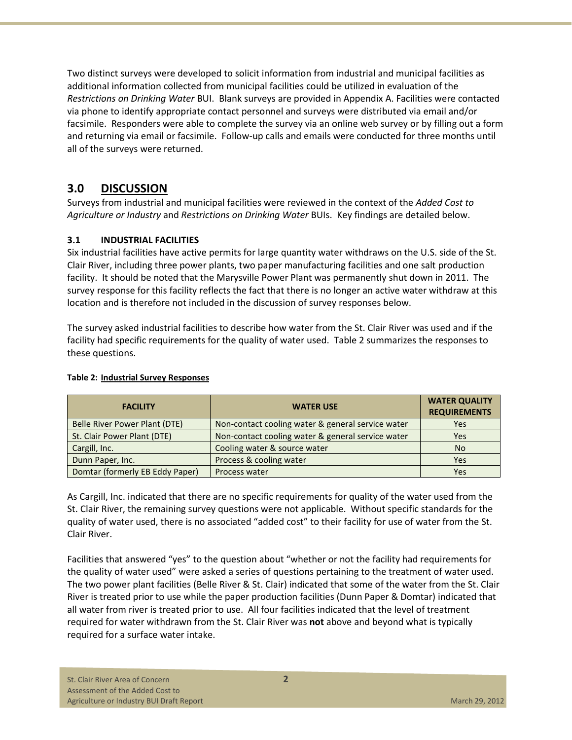Two distinct surveys were developed to solicit information from industrial and municipal facilities as additional information collected from municipal facilities could be utilized in evaluation of the *Restrictions on Drinking Water* BUI. Blank surveys are provided in Appendix A. Facilities were contacted via phone to identify appropriate contact personnel and surveys were distributed via email and/or facsimile. Responders were able to complete the survey via an online web survey or by filling out a form and returning via email or facsimile. Follow-up calls and emails were conducted for three months until all of the surveys were returned.

## **3.0 DISCUSSION**

Surveys from industrial and municipal facilities were reviewed in the context of the *Added Cost to Agriculture or Industry* and *Restrictions on Drinking Water* BUIs. Key findings are detailed below.

## **3.1 INDUSTRIAL FACILITIES**

Six industrial facilities have active permits for large quantity water withdraws on the U.S. side of the St. Clair River, including three power plants, two paper manufacturing facilities and one salt production facility. It should be noted that the Marysville Power Plant was permanently shut down in 2011. The survey response for this facility reflects the fact that there is no longer an active water withdraw at this location and is therefore not included in the discussion of survey responses below.

The survey asked industrial facilities to describe how water from the St. Clair River was used and if the facility had specific requirements for the quality of water used. Table 2 summarizes the responses to these questions.

| <b>FACILITY</b>                 | <b>WATER USE</b>                                  | <b>WATER QUALITY</b><br><b>REQUIREMENTS</b> |
|---------------------------------|---------------------------------------------------|---------------------------------------------|
| Belle River Power Plant (DTE)   | Non-contact cooling water & general service water | Yes                                         |
| St. Clair Power Plant (DTE)     | Non-contact cooling water & general service water | Yes                                         |
| Cargill, Inc.                   | Cooling water & source water                      | <b>No</b>                                   |
| Dunn Paper, Inc.                | Process & cooling water                           | Yes                                         |
| Domtar (formerly EB Eddy Paper) | Process water                                     | Yes                                         |

## **Table 2: Industrial Survey Responses**

As Cargill, Inc. indicated that there are no specific requirements for quality of the water used from the St. Clair River, the remaining survey questions were not applicable. Without specific standards for the quality of water used, there is no associated "added cost" to their facility for use of water from the St. Clair River.

Facilities that answered "yes" to the question about "whether or not the facility had requirements for the quality of water used" were asked a series of questions pertaining to the treatment of water used. The two power plant facilities (Belle River & St. Clair) indicated that some of the water from the St. Clair River is treated prior to use while the paper production facilities (Dunn Paper & Domtar) indicated that all water from river is treated prior to use. All four facilities indicated that the level of treatment required for water withdrawn from the St. Clair River was **not** above and beyond what is typically required for a surface water intake.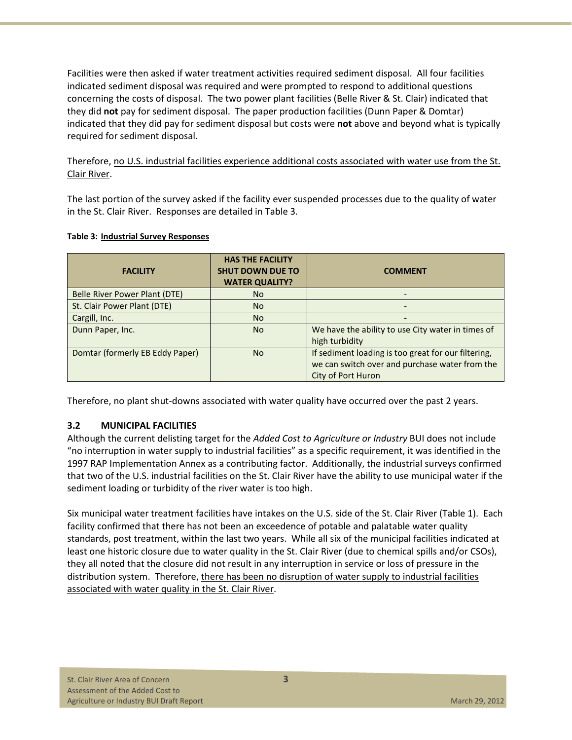Facilities were then asked if water treatment activities required sediment disposal. All four facilities indicated sediment disposal was required and were prompted to respond to additional questions concerning the costs of disposal. The two power plant facilities (Belle River & St. Clair) indicated that they did **not** pay for sediment disposal. The paper production facilities (Dunn Paper & Domtar) indicated that they did pay for sediment disposal but costs were **not** above and beyond what is typically required for sediment disposal.

Therefore, no U.S. industrial facilities experience additional costs associated with water use from the St. Clair River.

The last portion of the survey asked if the facility ever suspended processes due to the quality of water in the St. Clair River. Responses are detailed in Table 3.

| <b>FACILITY</b>                 | <b>HAS THE FACILITY</b><br><b>SHUT DOWN DUE TO</b><br><b>WATER QUALITY?</b> | <b>COMMENT</b>                                      |
|---------------------------------|-----------------------------------------------------------------------------|-----------------------------------------------------|
| Belle River Power Plant (DTE)   | <b>No</b>                                                                   |                                                     |
| St. Clair Power Plant (DTE)     | <b>No</b>                                                                   |                                                     |
| Cargill, Inc.                   | <b>No</b>                                                                   |                                                     |
| Dunn Paper, Inc.                | <b>No</b>                                                                   | We have the ability to use City water in times of   |
|                                 |                                                                             | high turbidity                                      |
| Domtar (formerly EB Eddy Paper) | <b>No</b>                                                                   | If sediment loading is too great for our filtering, |
|                                 |                                                                             | we can switch over and purchase water from the      |
|                                 |                                                                             | <b>City of Port Huron</b>                           |

#### **Table 3: Industrial Survey Responses**

Therefore, no plant shut-downs associated with water quality have occurred over the past 2 years.

#### **3.2 MUNICIPAL FACILITIES**

Although the current delisting target for the *Added Cost to Agriculture or Industry* BUI does not include "no interruption in water supply to industrial facilities" as a specific requirement, it was identified in the 1997 RAP Implementation Annex as a contributing factor. Additionally, the industrial surveys confirmed that two of the U.S. industrial facilities on the St. Clair River have the ability to use municipal water if the sediment loading or turbidity of the river water is too high.

Six municipal water treatment facilities have intakes on the U.S. side of the St. Clair River (Table 1). Each facility confirmed that there has not been an exceedence of potable and palatable water quality standards, post treatment, within the last two years. While all six of the municipal facilities indicated at least one historic closure due to water quality in the St. Clair River (due to chemical spills and/or CSOs), they all noted that the closure did not result in any interruption in service or loss of pressure in the distribution system. Therefore, there has been no disruption of water supply to industrial facilities associated with water quality in the St. Clair River.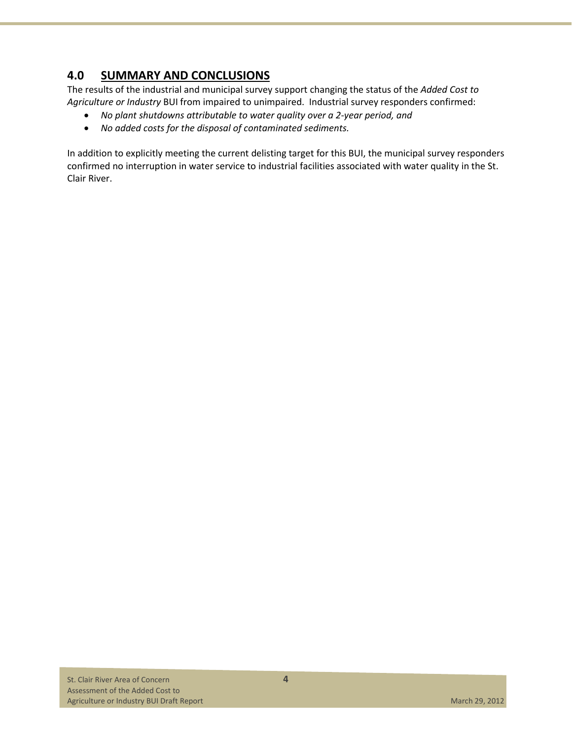# **4.0 SUMMARY AND CONCLUSIONS**

The results of the industrial and municipal survey support changing the status of the *Added Cost to Agriculture or Industry* BUI from impaired to unimpaired. Industrial survey responders confirmed:

- *No plant shutdowns attributable to water quality over a 2-year period, and*
- *No added costs for the disposal of contaminated sediments.*

In addition to explicitly meeting the current delisting target for this BUI, the municipal survey responders confirmed no interruption in water service to industrial facilities associated with water quality in the St. Clair River.